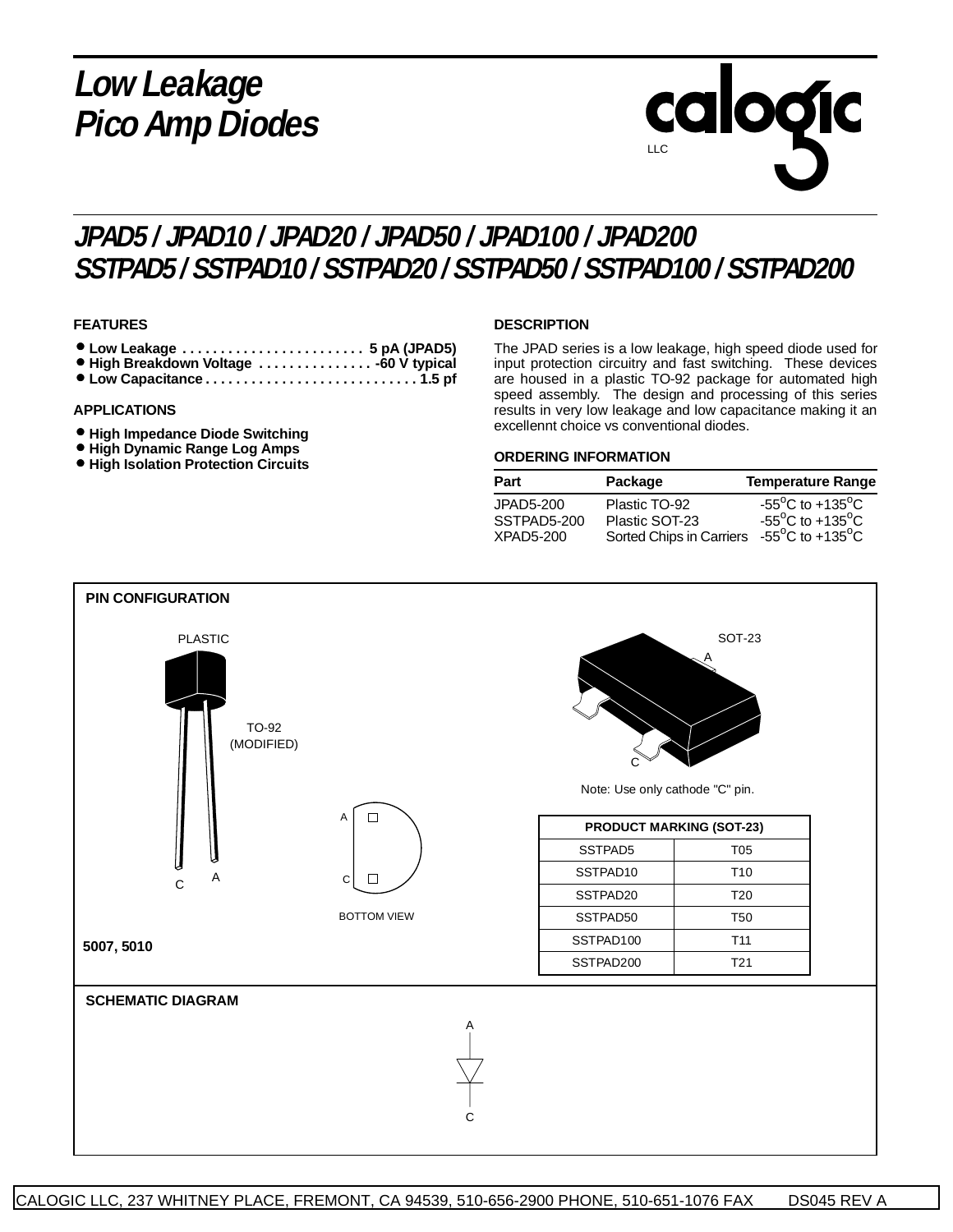## **Low Leakage Pico Amp Diodes**

# calogic LLC

### **JPAD5 / JPAD10 / JPAD20 / JPAD50 / JPAD100 / JPAD200 SSTPAD5 / SSTPAD10 / SSTPAD20 / SSTPAD50 / SSTPAD100 / SSTPAD200**

#### **FEATURES**

- **Low Leakage . . . . . . . . . . . . . . . . . . . . . . . . 5 pA (JPAD5)** • **High Breakdown Voltage . . . . . . . . . . . . . . . -60 V typical**
- **Low Capacitance . . . . . . . . . . . . . . . . . . . . . . . . . . . . 1.5 pf**

#### **APPLICATIONS**

- **High Impedance Diode Switching**
- **High Dynamic Range Log Amps**
- **High Isolation Protection Circuits**

#### **DESCRIPTION**

The JPAD series is a low leakage, high speed diode used for input protection circuitry and fast switching. These devices are housed in a plastic TO-92 package for automated high speed assembly. The design and processing of this series results in very low leakage and low capacitance making it an excellennt choice vs conventional diodes.

#### **ORDERING INFORMATION**

| <b>Part</b> | Package                  | <b>Temperature Range</b>                              |  |  |  |
|-------------|--------------------------|-------------------------------------------------------|--|--|--|
| JPAD5-200   | Plastic TO-92            | -55 <sup>o</sup> C to +135 <sup>o</sup> C             |  |  |  |
| SSTPAD5-200 | Plastic SOT-23           | -55 $\mathrm{^{\circ}C}$ to +135 $\mathrm{^{\circ}C}$ |  |  |  |
| XPAD5-200   | Sorted Chips in Carriers | -55 <sup>o</sup> C to +135 <sup>o</sup> C             |  |  |  |